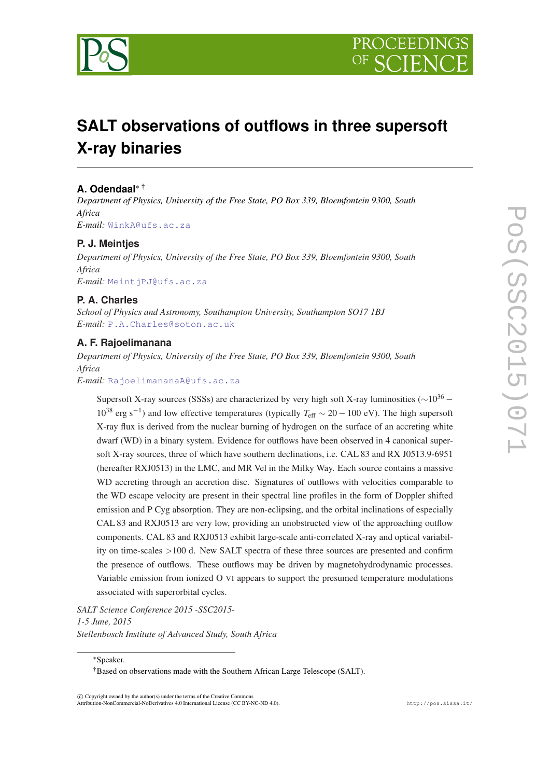

# **SALT observations of outflows in three supersoft X-ray binaries**

### **A. Odendaal**<sup>∗</sup> †

*Department of Physics, University of the Free State, PO Box 339, Bloemfontein 9300, South Africa E-mail:* [WinkA@ufs.ac.za](mailto:WinkA@ufs.ac.za)

**P. J. Meintjes**

*Department of Physics, University of the Free State, PO Box 339, Bloemfontein 9300, South Africa E-mail:* [MeintjPJ@ufs.ac.za](mailto:MeintjPJ@ufs.ac.za)

**P. A. Charles**

*School of Physics and Astronomy, Southampton University, Southampton SO17 1BJ E-mail:* [P.A.Charles@soton.ac.uk](mailto:P.A.Charles@soton.ac.uk)

## **A. F. Rajoelimanana**

*Department of Physics, University of the Free State, PO Box 339, Bloemfontein 9300, South Africa*

*E-mail:* [RajoelimananaA@ufs.ac.za](mailto:RajoelimananaA@ufs.ac.za)

Supersoft X-ray sources (SSSs) are characterized by very high soft X-ray luminosities ( $\sim 10^{36}$  – 10<sup>38</sup> erg s−<sup>1</sup> ) and low effective temperatures (typically *T*eff ∼ 20 − 100 eV). The high supersoft X-ray flux is derived from the nuclear burning of hydrogen on the surface of an accreting white dwarf (WD) in a binary system. Evidence for outflows have been observed in 4 canonical supersoft X-ray sources, three of which have southern declinations, i.e. CAL 83 and RX J0513.9-6951 (hereafter RXJ0513) in the LMC, and MR Vel in the Milky Way. Each source contains a massive WD accreting through an accretion disc. Signatures of outflows with velocities comparable to the WD escape velocity are present in their spectral line profiles in the form of Doppler shifted emission and P Cyg absorption. They are non-eclipsing, and the orbital inclinations of especially CAL 83 and RXJ0513 are very low, providing an unobstructed view of the approaching outflow components. CAL 83 and RXJ0513 exhibit large-scale anti-correlated X-ray and optical variability on time-scales >100 d. New SALT spectra of these three sources are presented and confirm the presence of outflows. These outflows may be driven by magnetohydrodynamic processes. Variable emission from ionized O VI appears to support the presumed temperature modulations associated with superorbital cycles.

*SALT Science Conference 2015 -SSC2015- 1-5 June, 2015 Stellenbosch Institute of Advanced Study, South Africa*

∗Speaker.

 $\overline{c}$  Copyright owned by the author(s) under the terms of the Creative Common Attribution-NonCommercial-NoDerivatives 4.0 International License (CC BY-NC-ND 4.0). http://pos.sissa.it/

<sup>†</sup>Based on observations made with the Southern African Large Telescope (SALT).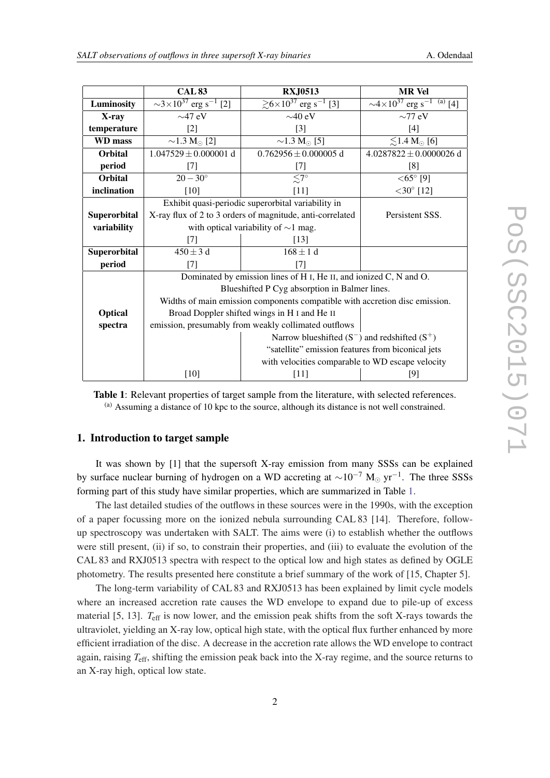| SALT observations of outflows in three supersoft X-ray binaries | A. Odendaal |
|-----------------------------------------------------------------|-------------|
|-----------------------------------------------------------------|-------------|

|                | <b>CAL 83</b>                                                                              | <b>RXJ0513</b>                                                  | <b>MR</b> Vel                                              |  |
|----------------|--------------------------------------------------------------------------------------------|-----------------------------------------------------------------|------------------------------------------------------------|--|
| Luminosity     | $\sqrt{3 \times 10^{37} \text{ erg s}^{-1}}$<br>$\lceil 2 \rceil$                          | $\ge 6 \times 10^{37}$ erg s <sup>-1</sup><br>$\lceil 3 \rceil$ | $\sim$ 4×10 <sup>37</sup> erg s <sup>-1</sup><br>$(a)$ [4] |  |
| X-ray          | $\sim$ 47 eV                                                                               | $\sim$ 40 eV                                                    | $\sim$ 77 eV                                               |  |
| temperature    | $[2]$                                                                                      | $[3]$                                                           | $[4]$                                                      |  |
| WD mass        | $\sim$ 1.3 M <sub><math>\odot</math></sub> [2]                                             | $\sim$ 1.3 M <sub><math>\odot</math></sub> [5]                  | $\lesssim$ 1.4 M <sub><math>\odot</math></sub> [6]         |  |
| <b>Orbital</b> | $1.047529 \pm 0.000001$ d                                                                  | $0.762956 \pm 0.000005$ d                                       | $4.0287822 \pm 0.0000026$ d                                |  |
| period         | $[7]$                                                                                      | [7]                                                             | [8]                                                        |  |
| <b>Orbital</b> | $20 - 30^{\circ}$                                                                          | $\leq 7^\circ$                                                  | $<$ 65 $^{\circ}$ [9]                                      |  |
| inclination    | $[10]$                                                                                     | $[11]$                                                          | $<$ 30 $^{\circ}$ [12]                                     |  |
|                | Exhibit quasi-periodic superorbital variability in                                         |                                                                 |                                                            |  |
| Superorbital   | X-ray flux of 2 to 3 orders of magnitude, anti-correlated<br>Persistent SSS.               |                                                                 |                                                            |  |
| variability    | with optical variability of $\sim$ 1 mag.                                                  |                                                                 |                                                            |  |
|                | $[7]$                                                                                      | [13]                                                            |                                                            |  |
| Superorbital   | $450 \pm 3$ d                                                                              | $168 \pm 1 d$                                                   |                                                            |  |
| period         | $[7]$                                                                                      | [7]                                                             |                                                            |  |
|                | Dominated by emission lines of H <sub>I</sub> , He <sub>II</sub> , and ionized C, N and O. |                                                                 |                                                            |  |
|                | Blueshifted P Cyg absorption in Balmer lines.                                              |                                                                 |                                                            |  |
|                | Widths of main emission components compatible with accretion disc emission.                |                                                                 |                                                            |  |
| <b>Optical</b> | Broad Doppler shifted wings in H I and He II                                               |                                                                 |                                                            |  |
| spectra        | emission, presumably from weakly collimated outflows                                       |                                                                 |                                                            |  |
|                |                                                                                            | Narrow blueshifted $(S^-)$ and redshifted $(S^+)$               |                                                            |  |
|                |                                                                                            | "satellite" emission features from biconical jets               |                                                            |  |
|                |                                                                                            | with velocities comparable to WD escape velocity                |                                                            |  |
|                | $[10]$                                                                                     | $[11]$                                                          | [9]                                                        |  |

Table 1: Relevant properties of target sample from the literature, with selected references.  $(a)$  Assuming a distance of 10 kpc to the source, although its distance is not well constrained.

#### 1. Introduction to target sample

It was shown by [1] that the supersoft X-ray emission from many SSSs can be explained by surface nuclear burning of hydrogen on a WD accreting at  $\sim 10^{-7}$  M<sub>☉</sub> yr<sup>-1</sup>. The three SSSs forming part of this study have similar properties, which are summarized in Table 1.

The last detailed studies of the outflows in these sources were in the 1990s, with the exception of a paper focussing more on the ionized nebula surrounding CAL 83 [14]. Therefore, followup spectroscopy was undertaken with SALT. The aims were (i) to establish whether the outflows were still present, (ii) if so, to constrain their properties, and (iii) to evaluate the evolution of the CAL 83 and RXJ0513 spectra with respect to the optical low and high states as defined by OGLE photometry. The results presented here constitute a brief summary of the work of [15, Chapter 5].

The long-term variability of CAL 83 and RXJ0513 has been explained by limit cycle models where an increased accretion rate causes the WD envelope to expand due to pile-up of excess material [5, 13]. *T<sub>eff</sub>* is now lower, and the emission peak shifts from the soft X-rays towards the ultraviolet, yielding an X-ray low, optical high state, with the optical flux further enhanced by more efficient irradiation of the disc. A decrease in the accretion rate allows the WD envelope to contract again, raising *T*eff, shifting the emission peak back into the X-ray regime, and the source returns to an X-ray high, optical low state.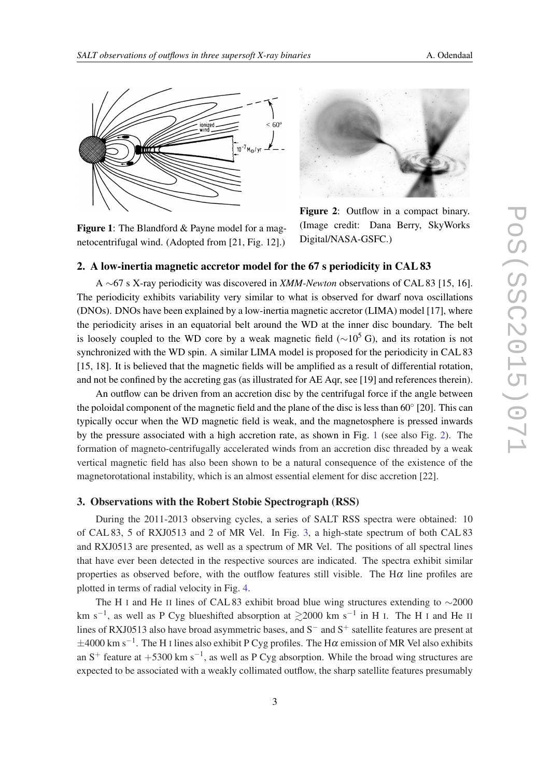<span id="page-2-0"></span>

Figure 1: The Blandford & Payne model for a magnetocentrifugal wind. (Adopted from [21, Fig. 12].)



Figure 2: Outflow in a compact binary. (Image credit: Dana Berry, SkyWorks Digital/NASA-GSFC.)

#### 2. A low-inertia magnetic accretor model for the 67 s periodicity in CAL 83

A ∼67 s X-ray periodicity was discovered in *XMM-Newton* observations of CAL 83 [15, 16]. The periodicity exhibits variability very similar to what is observed for dwarf nova oscillations (DNOs). DNOs have been explained by a low-inertia magnetic accretor (LIMA) model [17], where the periodicity arises in an equatorial belt around the WD at the inner disc boundary. The belt is loosely coupled to the WD core by a weak magnetic field ( $\sim$ 10<sup>5</sup> G), and its rotation is not synchronized with the WD spin. A similar LIMA model is proposed for the periodicity in CAL 83 [15, 18]. It is believed that the magnetic fields will be amplified as a result of differential rotation, and not be confined by the accreting gas (as illustrated for AE Aqr, see [19] and references therein).

An outflow can be driven from an accretion disc by the centrifugal force if the angle between the poloidal component of the magnetic field and the plane of the disc is less than  $60^{\circ}$  [20]. This can typically occur when the WD magnetic field is weak, and the magnetosphere is pressed inwards by the pressure associated with a high accretion rate, as shown in Fig. 1 (see also Fig. 2). The formation of magneto-centrifugally accelerated winds from an accretion disc threaded by a weak vertical magnetic field has also been shown to be a natural consequence of the existence of the magnetorotational instability, which is an almost essential element for disc accretion [22].

#### 3. Observations with the Robert Stobie Spectrograph (RSS)

During the 2011-2013 observing cycles, a series of SALT RSS spectra were obtained: 10 of CAL 83, 5 of RXJ0513 and 2 of MR Vel. In Fig. [3,](#page-3-0) a high-state spectrum of both CAL 83 and RXJ0513 are presented, as well as a spectrum of MR Vel. The positions of all spectral lines that have ever been detected in the respective sources are indicated. The spectra exhibit similar properties as observed before, with the outflow features still visible. The  $H\alpha$  line profiles are plotted in terms of radial velocity in Fig. [4](#page-3-0).

The H <sup>I</sup> and He II lines of CAL 83 exhibit broad blue wing structures extending to ∼2000 km s<sup>-1</sup>, as well as P Cyg blueshifted absorption at  $\geq$ 2000 km s<sup>-1</sup> in H I. The H I and He II lines of RXJ0513 also have broad asymmetric bases, and S<sup>−</sup> and S<sup>+</sup> satellite features are present at  $\pm 4000$  km s<sup>-1</sup>. The H I lines also exhibit P Cyg profiles. The H $\alpha$  emission of MR Vel also exhibits an S<sup>+</sup> feature at +5300 km s<sup>-1</sup>, as well as P Cyg absorption. While the broad wing structures are expected to be associated with a weakly collimated outflow, the sharp satellite features presumably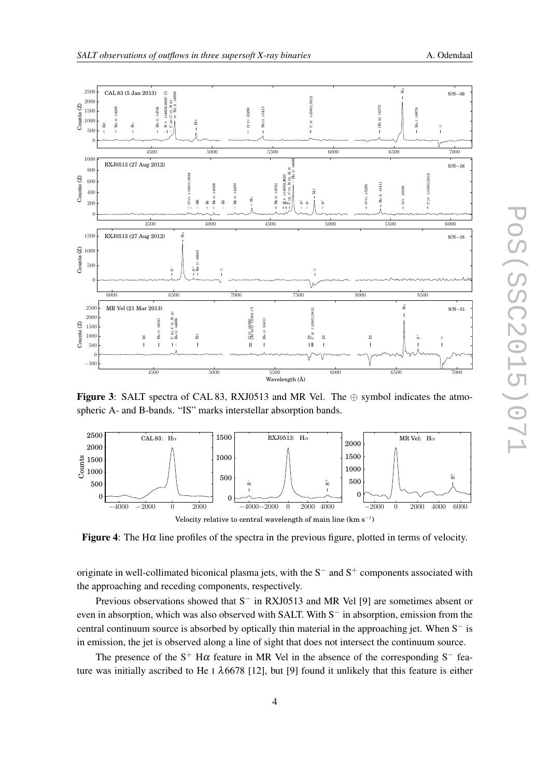<span id="page-3-0"></span>



Figure 3: SALT spectra of CAL 83, RXJ0513 and MR Vel. The  $\oplus$  symbol indicates the atmospheric A- and B-bands. "IS" marks interstellar absorption bands.



**Figure 4:** The H $\alpha$  line profiles of the spectra in the previous figure, plotted in terms of velocity.

originate in well-collimated biconical plasma jets, with the  $S^-$  and  $S^+$  components associated with the approaching and receding components, respectively.

Previous observations showed that S− in RXJ0513 and MR Vel [9] are sometimes absent or even in absorption, which was also observed with SALT. With S<sup>−</sup> in absorption, emission from the central continuum source is absorbed by optically thin material in the approaching jet. When S− is in emission, the jet is observed along a line of sight that does not intersect the continuum source.

The presence of the  $S^+$  H $\alpha$  feature in MR Vel in the absence of the corresponding  $S^-$  feature was initially ascribed to He I  $\lambda$ 6678 [12], but [9] found it unlikely that this feature is either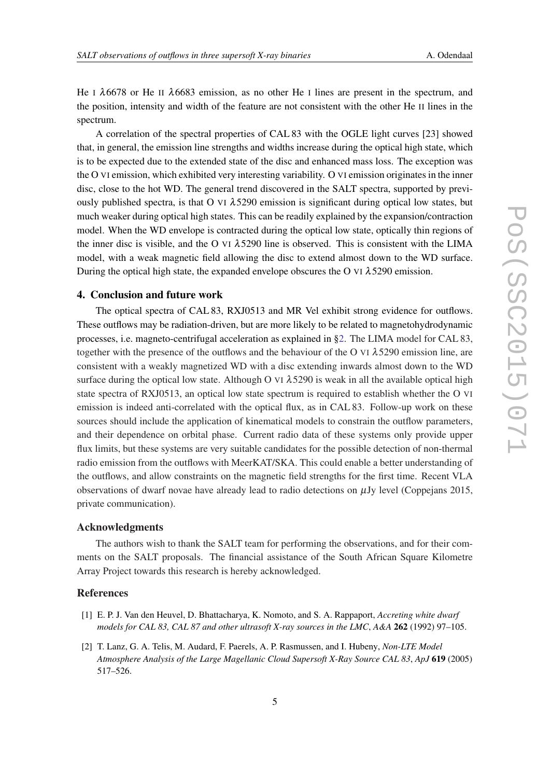He I  $\lambda$ 6678 or He II  $\lambda$ 6683 emission, as no other He I lines are present in the spectrum, and the position, intensity and width of the feature are not consistent with the other He II lines in the spectrum.

A correlation of the spectral properties of CAL 83 with the OGLE light curves [23] showed that, in general, the emission line strengths and widths increase during the optical high state, which is to be expected due to the extended state of the disc and enhanced mass loss. The exception was the O VI emission, which exhibited very interesting variability. O VI emission originates in the inner disc, close to the hot WD. The general trend discovered in the SALT spectra, supported by previously published spectra, is that O VI  $\lambda$ 5290 emission is significant during optical low states, but much weaker during optical high states. This can be readily explained by the expansion/contraction model. When the WD envelope is contracted during the optical low state, optically thin regions of the inner disc is visible, and the O VI  $\lambda$ 5290 line is observed. This is consistent with the LIMA model, with a weak magnetic field allowing the disc to extend almost down to the WD surface. During the optical high state, the expanded envelope obscures the O VI  $\lambda$  5290 emission.

#### 4. Conclusion and future work

The optical spectra of CAL 83, RXJ0513 and MR Vel exhibit strong evidence for outflows. These outflows may be radiation-driven, but are more likely to be related to magnetohydrodynamic processes, i.e. magneto-centrifugal acceleration as explained in [§2](#page-2-0). The LIMA model for CAL 83, together with the presence of the outflows and the behaviour of the O VI  $\lambda$ 5290 emission line, are consistent with a weakly magnetized WD with a disc extending inwards almost down to the WD surface during the optical low state. Although O VI  $\lambda$  5290 is weak in all the available optical high state spectra of RXJ0513, an optical low state spectrum is required to establish whether the O VI emission is indeed anti-correlated with the optical flux, as in CAL 83. Follow-up work on these sources should include the application of kinematical models to constrain the outflow parameters, and their dependence on orbital phase. Current radio data of these systems only provide upper flux limits, but these systems are very suitable candidates for the possible detection of non-thermal radio emission from the outflows with MeerKAT/SKA. This could enable a better understanding of the outflows, and allow constraints on the magnetic field strengths for the first time. Recent VLA observations of dwarf novae have already lead to radio detections on  $\mu$ Jy level (Coppejans 2015, private communication).

#### Acknowledgments

The authors wish to thank the SALT team for performing the observations, and for their comments on the SALT proposals. The financial assistance of the South African Square Kilometre Array Project towards this research is hereby acknowledged.

#### References

- [1] E. P. J. Van den Heuvel, D. Bhattacharya, K. Nomoto, and S. A. Rappaport, *Accreting white dwarf models for CAL 83, CAL 87 and other ultrasoft X-ray sources in the LMC*, *A&A* 262 (1992) 97–105.
- [2] T. Lanz, G. A. Telis, M. Audard, F. Paerels, A. P. Rasmussen, and I. Hubeny, *Non-LTE Model Atmosphere Analysis of the Large Magellanic Cloud Supersoft X-Ray Source CAL 83*, *ApJ* 619 (2005) 517–526.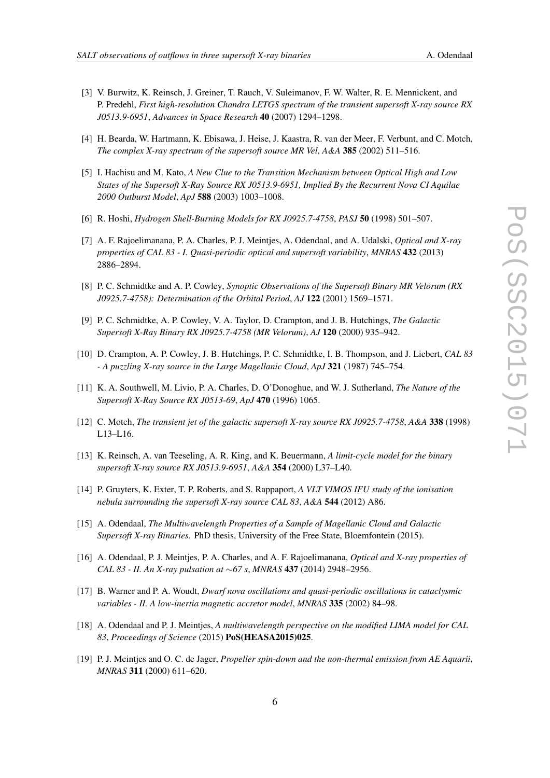- 
- [3] V. Burwitz, K. Reinsch, J. Greiner, T. Rauch, V. Suleimanov, F. W. Walter, R. E. Mennickent, and P. Predehl, *First high-resolution Chandra LETGS spectrum of the transient supersoft X-ray source RX J0513.9-6951*, *Advances in Space Research* 40 (2007) 1294–1298.
- [4] H. Bearda, W. Hartmann, K. Ebisawa, J. Heise, J. Kaastra, R. van der Meer, F. Verbunt, and C. Motch, *The complex X-ray spectrum of the supersoft source MR Vel*, *A&A* 385 (2002) 511–516.
- [5] I. Hachisu and M. Kato, *A New Clue to the Transition Mechanism between Optical High and Low States of the Supersoft X-Ray Source RX J0513.9-6951, Implied By the Recurrent Nova CI Aquilae 2000 Outburst Model*, *ApJ* 588 (2003) 1003–1008.
- [6] R. Hoshi, *Hydrogen Shell-Burning Models for RX J0925.7-4758*, *PASJ* 50 (1998) 501–507.
- [7] A. F. Rajoelimanana, P. A. Charles, P. J. Meintjes, A. Odendaal, and A. Udalski, *Optical and X-ray properties of CAL 83 - I. Quasi-periodic optical and supersoft variability*, *MNRAS* 432 (2013) 2886–2894.
- [8] P. C. Schmidtke and A. P. Cowley, *Synoptic Observations of the Supersoft Binary MR Velorum (RX J0925.7-4758): Determination of the Orbital Period*, *AJ* 122 (2001) 1569–1571.
- [9] P. C. Schmidtke, A. P. Cowley, V. A. Taylor, D. Crampton, and J. B. Hutchings, *The Galactic Supersoft X-Ray Binary RX J0925.7-4758 (MR Velorum)*, *AJ* 120 (2000) 935–942.
- [10] D. Crampton, A. P. Cowley, J. B. Hutchings, P. C. Schmidtke, I. B. Thompson, and J. Liebert, *CAL 83 - A puzzling X-ray source in the Large Magellanic Cloud*, *ApJ* 321 (1987) 745–754.
- [11] K. A. Southwell, M. Livio, P. A. Charles, D. O'Donoghue, and W. J. Sutherland, *The Nature of the Supersoft X-Ray Source RX J0513-69*, *ApJ* 470 (1996) 1065.
- [12] C. Motch, *The transient jet of the galactic supersoft X-ray source RX J0925.7-4758*, *A&A* 338 (1998) L13–L16.
- [13] K. Reinsch, A. van Teeseling, A. R. King, and K. Beuermann, *A limit-cycle model for the binary supersoft X-ray source RX J0513.9-6951*, *A&A* 354 (2000) L37–L40.
- [14] P. Gruyters, K. Exter, T. P. Roberts, and S. Rappaport, *A VLT VIMOS IFU study of the ionisation nebula surrounding the supersoft X-ray source CAL 83*, *A&A* 544 (2012) A86.
- [15] A. Odendaal, *The Multiwavelength Properties of a Sample of Magellanic Cloud and Galactic Supersoft X-ray Binaries*. PhD thesis, University of the Free State, Bloemfontein (2015).
- [16] A. Odendaal, P. J. Meintjes, P. A. Charles, and A. F. Rajoelimanana, *Optical and X-ray properties of CAL 83 - II. An X-ray pulsation at* ∼*67 s*, *MNRAS* 437 (2014) 2948–2956.
- [17] B. Warner and P. A. Woudt, *Dwarf nova oscillations and quasi-periodic oscillations in cataclysmic variables - II. A low-inertia magnetic accretor model*, *MNRAS* 335 (2002) 84–98.
- [18] A. Odendaal and P. J. Meintjes, *A multiwavelength perspective on the modified LIMA model for CAL 83*, *Proceedings of Science* (2015) PoS(HEASA2015)025.
- [19] P. J. Meintjes and O. C. de Jager, *Propeller spin-down and the non-thermal emission from AE Aquarii*, *MNRAS* 311 (2000) 611–620.